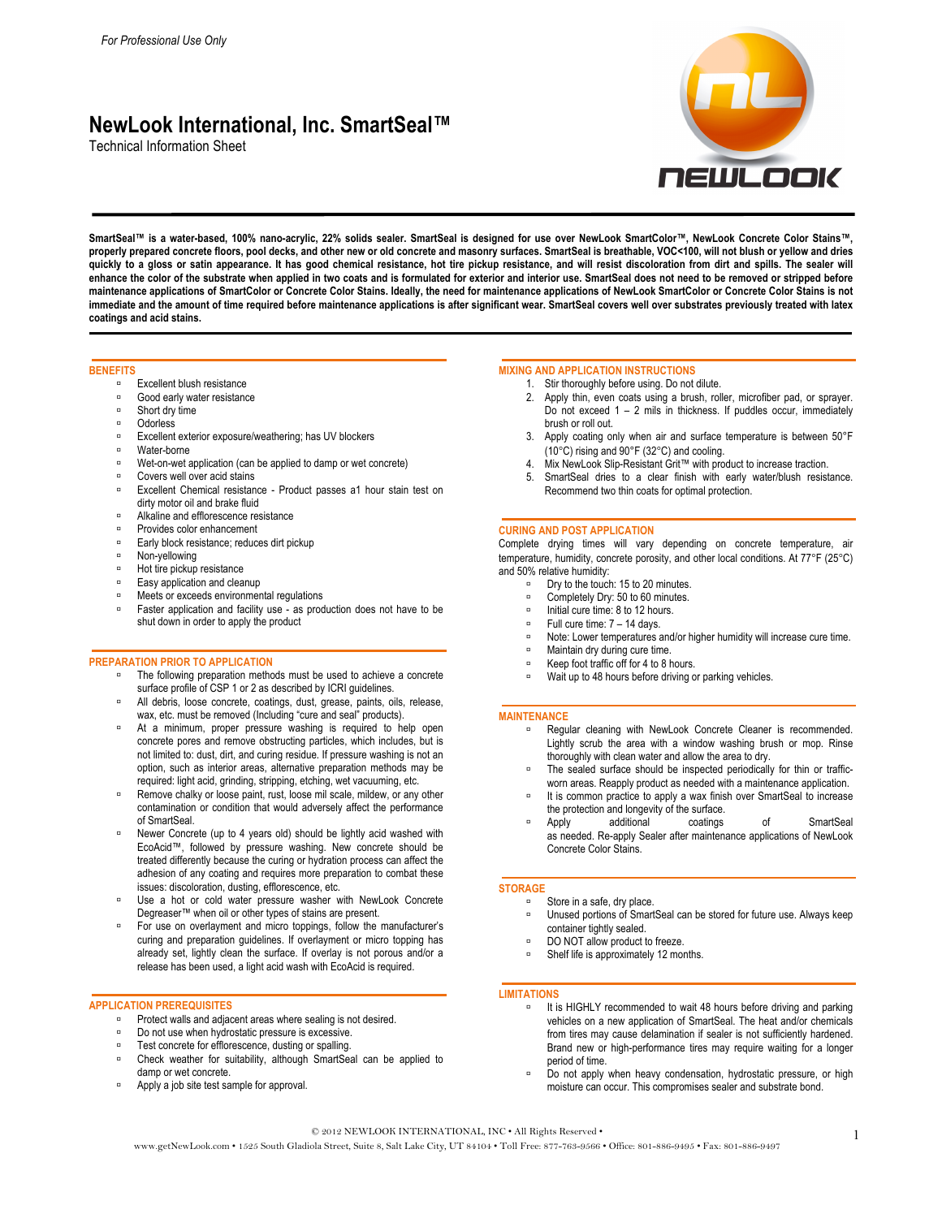# **NewLook International, Inc. SmartSeal™**

Technical Information Sheet



**SmartSeal™ is a water-based, 100% nano-acrylic, 22% solids sealer. SmartSeal is designed for use over NewLook SmartColor™, NewLook Concrete Color Stains™, properly prepared concrete floors, pool decks, and other new or old concrete and masonry surfaces. SmartSeal is breathable, VOC<100, will not blush or yellow and dries quickly to a gloss or satin appearance. It has good chemical resistance, hot tire pickup resistance, and will resist discoloration from dirt and spills. The sealer will enhance the color of the substrate when applied in two coats and is formulated for exterior and interior use. SmartSeal does not need to be removed or stripped before maintenance applications of SmartColor or Concrete Color Stains. Ideally, the need for maintenance applications of NewLook SmartColor or Concrete Color Stains is not immediate and the amount of time required before maintenance applications is after significant wear. SmartSeal covers well over substrates previously treated with latex coatings and acid stains.**

## **BENEFITS**

- Excellent blush resistance
- Good early water resistance
- Short dry time
- Odorless
- Excellent exterior exposure/weathering; has UV blockers
- **E** Water-borne
- Wet-on-wet application (can be applied to damp or wet concrete)
- Covers well over acid stains
- **Excellent Chemical resistance Product passes a1 hour stain test on** dirty motor oil and brake fluid
- Alkaline and efflorescence resistance
- Provides color enhancement
- **Early block resistance; reduces dirt pickup**
- Non-yellowing
- Hot tire pickup resistance
- Easy application and cleanup
- <sup>o</sup> Meets or exceeds environmental regulations
- Faster application and facility use as production does not have to be shut down in order to apply the product

#### **PREPARATION PRIOR TO APPLICATION**

- The following preparation methods must be used to achieve a concrete surface profile of CSP 1 or 2 as described by ICRI guidelines.
- All debris, loose concrete, coatings, dust, grease, paints, oils, release, wax, etc. must be removed (Including "cure and seal" products).
- At a minimum, proper pressure washing is required to help open concrete pores and remove obstructing particles, which includes, but is not limited to: dust, dirt, and curing residue. If pressure washing is not an option, such as interior areas, alternative preparation methods may be required: light acid, grinding, stripping, etching, wet vacuuming, etc.
- Remove chalky or loose paint, rust, loose mil scale, mildew, or any other contamination or condition that would adversely affect the performance of SmartSeal.
- Newer Concrete (up to 4 years old) should be lightly acid washed with EcoAcid™, followed by pressure washing. New concrete should be treated differently because the curing or hydration process can affect the adhesion of any coating and requires more preparation to combat these issues: discoloration, dusting, efflorescence, etc.
- Use a hot or cold water pressure washer with NewLook Concrete Degreaser™ when oil or other types of stains are present.
- For use on overlayment and micro toppings, follow the manufacturer's curing and preparation guidelines. If overlayment or micro topping has already set, lightly clean the surface. If overlay is not porous and/or a release has been used, a light acid wash with EcoAcid is required.

#### **APPLICATION PREREQUISITES**

- Protect walls and adjacent areas where sealing is not desired.
- Do not use when hydrostatic pressure is excessive.
- Test concrete for efflorescence, dusting or spalling.
- Check weather for suitability, although SmartSeal can be applied to damp or wet concrete.
- Apply a job site test sample for approval.

# **MIXING AND APPLICATION INSTRUCTIONS**

- 1. Stir thoroughly before using. Do not dilute.
- 2. Apply thin, even coats using a brush, roller, microfiber pad, or sprayer. Do not exceed 1 – 2 mils in thickness. If puddles occur, immediately brush or roll out.
- 3. Apply coating only when air and surface temperature is between 50°F (10°C) rising and 90°F (32°C) and cooling.
- 4. Mix NewLook Slip-Resistant Grit™ with product to increase traction.
- 5. SmartSeal dries to a clear finish with early water/blush resistance. Recommend two thin coats for optimal protection.

## **CURING AND POST APPLICATION**

Complete drying times will vary depending on concrete temperature, air temperature, humidity, concrete porosity, and other local conditions. At 77°F (25°C) and 50% relative humidity:

- Dry to the touch: 15 to 20 minutes.
- Completely Dry: 50 to 60 minutes.
- □ Initial cure time: 8 to 12 hours.
- Full cure time: 7 14 days.
- Note: Lower temperatures and/or higher humidity will increase cure time.
- Maintain dry during cure time.
- Keep foot traffic off for 4 to 8 hours.
- □ Wait up to 48 hours before driving or parking vehicles.

#### **MAINTENANCE**

- **Regular cleaning with NewLook Concrete Cleaner is recommended.** Lightly scrub the area with a window washing brush or mop. Rinse thoroughly with clean water and allow the area to dry.
- The sealed surface should be inspected periodically for thin or trafficworn areas. Reapply product as needed with a maintenance application.
- It is common practice to apply a wax finish over SmartSeal to increase the protection and longevity of the surface.<br>Annivally additional coatings
- Apply additional coatings of SmartSeal as needed. Re-apply Sealer after maintenance applications of NewLook Concrete Color Stains.

## **STORAGE**

Store in a safe, dry place.

- Unused portions of SmartSeal can be stored for future use. Always keep container tightly sealed.
- DO NOT allow product to freeze.
- Shelf life is approximately 12 months.

#### **LIMITATIONS**

- It is HIGHLY recommended to wait 48 hours before driving and parking vehicles on a new application of SmartSeal. The heat and/or chemicals from tires may cause delamination if sealer is not sufficiently hardened. Brand new or high-performance tires may require waiting for a longer period of time.
- Do not apply when heavy condensation, hydrostatic pressure, or high moisture can occur. This compromises sealer and substrate bond.

## © 2012 NEWLOOK INTERNATIONAL, INC • All Rights Reserved •

© 2012 NEWLOOK INTERNATIONAL, INC • All Rights Reserved •<br>www.getNewLook.com • 1525 South Gladiola Street, Suite 8, Salt Lake City, UT 84104 • Toll Free: 877-763-9566 • Office: 801-886-9495 • Fax: 801-886-9497